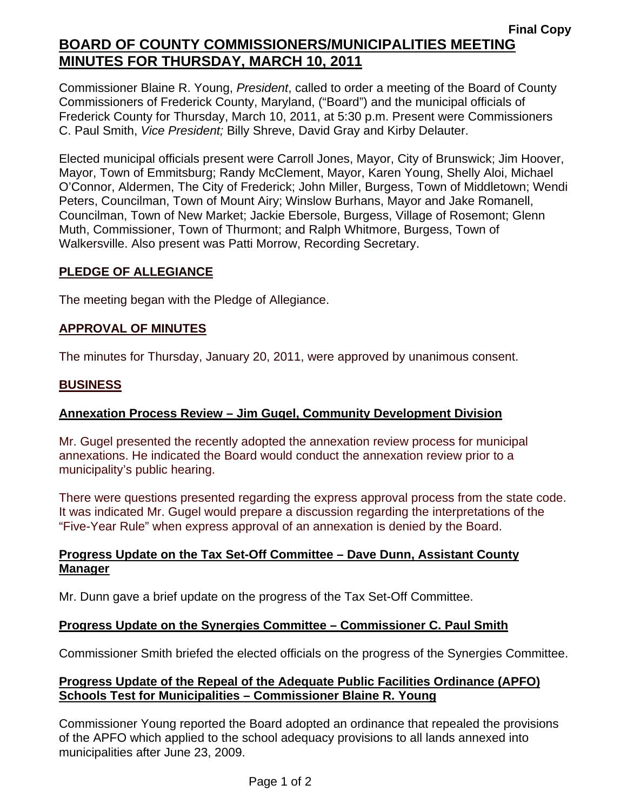Commissioner Blaine R. Young, *President*, called to order a meeting of the Board of County Commissioners of Frederick County, Maryland, ("Board") and the municipal officials of Frederick County for Thursday, March 10, 2011, at 5:30 p.m. Present were Commissioners C. Paul Smith, *Vice President;* Billy Shreve, David Gray and Kirby Delauter.

Elected municipal officials present were Carroll Jones, Mayor, City of Brunswick; Jim Hoover, Mayor, Town of Emmitsburg; Randy McClement, Mayor, Karen Young, Shelly Aloi, Michael O'Connor, Aldermen, The City of Frederick; John Miller, Burgess, Town of Middletown; Wendi Peters, Councilman, Town of Mount Airy; Winslow Burhans, Mayor and Jake Romanell, Councilman, Town of New Market; Jackie Ebersole, Burgess, Village of Rosemont; Glenn Muth, Commissioner, Town of Thurmont; and Ralph Whitmore, Burgess, Town of Walkersville. Also present was Patti Morrow, Recording Secretary.

## **PLEDGE OF ALLEGIANCE**

The meeting began with the Pledge of Allegiance.

## **APPROVAL OF MINUTES**

The minutes for Thursday, January 20, 2011, were approved by unanimous consent.

### **BUSINESS**

# **Annexation Process Review – Jim Gugel, Community Development Division**

Mr. Gugel presented the recently adopted the annexation review process for municipal annexations. He indicated the Board would conduct the annexation review prior to a municipality's public hearing.

There were questions presented regarding the express approval process from the state code. It was indicated Mr. Gugel would prepare a discussion regarding the interpretations of the "Five-Year Rule" when express approval of an annexation is denied by the Board.

### **Progress Update on the Tax Set-Off Committee – Dave Dunn, Assistant County Manager**

Mr. Dunn gave a brief update on the progress of the Tax Set-Off Committee.

### **Progress Update on the Synergies Committee – Commissioner C. Paul Smith**

Commissioner Smith briefed the elected officials on the progress of the Synergies Committee.

## **Progress Update of the Repeal of the Adequate Public Facilities Ordinance (APFO) Schools Test for Municipalities – Commissioner Blaine R. Young**

Commissioner Young reported the Board adopted an ordinance that repealed the provisions of the APFO which applied to the school adequacy provisions to all lands annexed into municipalities after June 23, 2009.